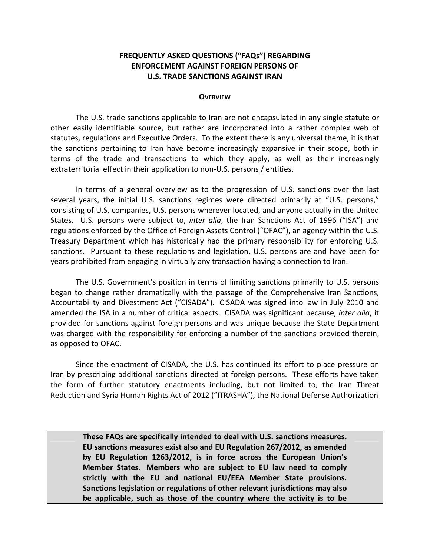## **FREQUENTLY ASKED QUESTIONS ("FAQs") REGARDING ENFORCEMENT AGAINST FOREIGN PERSONS OF U.S. TRADE SANCTIONS AGAINST IRAN**

#### **OVERVIEW**

The U.S. trade sanctions applicable to Iran are not encapsulated in any single statute or other easily identifiable source, but rather are incorporated into a rather complex web of statutes, regulations and Executive Orders. To the extent there is any universal theme, it is that the sanctions pertaining to Iran have become increasingly expansive in their scope, both in terms of the trade and transactions to which they apply, as well as their increasingly extraterritorial effect in their application to non‐U.S. persons / entities.

In terms of a general overview as to the progression of U.S. sanctions over the last several years, the initial U.S. sanctions regimes were directed primarily at "U.S. persons," consisting of U.S. companies, U.S. persons wherever located, and anyone actually in the United States. U.S. persons were subject to, *inter alia*, the Iran Sanctions Act of 1996 ("ISA") and regulations enforced by the Office of Foreign Assets Control ("OFAC"), an agency within the U.S. Treasury Department which has historically had the primary responsibility for enforcing U.S. sanctions. Pursuant to these regulations and legislation, U.S. persons are and have been for years prohibited from engaging in virtually any transaction having a connection to Iran.

The U.S. Government's position in terms of limiting sanctions primarily to U.S. persons began to change rather dramatically with the passage of the Comprehensive Iran Sanctions, Accountability and Divestment Act ("CISADA"). CISADA was signed into law in July 2010 and amended the ISA in a number of critical aspects. CISADA was significant because, *inter alia*, it provided for sanctions against foreign persons and was unique because the State Department was charged with the responsibility for enforcing a number of the sanctions provided therein, as opposed to OFAC.

Since the enactment of CISADA, the U.S. has continued its effort to place pressure on Iran by prescribing additional sanctions directed at foreign persons. These efforts have taken the form of further statutory enactments including, but not limited to, the Iran Threat Reduction and Syria Human Rights Act of 2012 ("ITRASHA"), the National Defense Authorization

**These FAQs are specifically intended to deal with U.S. sanctions measures. EU sanctions measures exist also and EU Regulation 267/2012, as amended by EU Regulation 1263/2012, is in force across the European Union's Member States. Members who are subject to EU law need to comply strictly with the EU and national EU/EEA Member State provisions. Sanctions legislation or regulations of other relevant jurisdictions may also be applicable, such as those of the country where the activity is to be**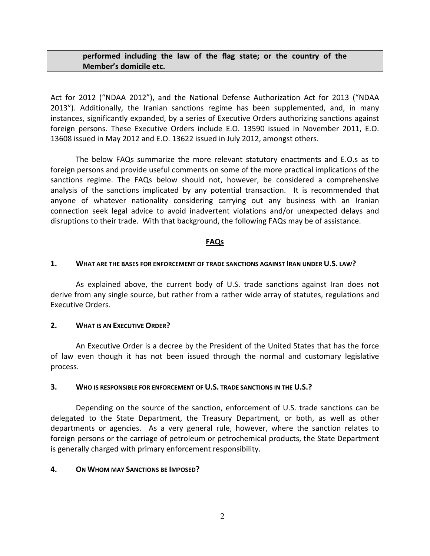## **performed including the law of the flag state; or the country of the Member's domicile etc.**

Act for 2012 ("NDAA 2012"), and the National Defense Authorization Act for 2013 ("NDAA 2013"). Additionally, the Iranian sanctions regime has been supplemented, and, in many instances, significantly expanded, by a series of Executive Orders authorizing sanctions against foreign persons. These Executive Orders include E.O. 13590 issued in November 2011, E.O. 13608 issued in May 2012 and E.O. 13622 issued in July 2012, amongst others.

The below FAQs summarize the more relevant statutory enactments and E.O.s as to foreign persons and provide useful comments on some of the more practical implications of the sanctions regime. The FAQs below should not, however, be considered a comprehensive analysis of the sanctions implicated by any potential transaction. It is recommended that anyone of whatever nationality considering carrying out any business with an Iranian connection seek legal advice to avoid inadvertent violations and/or unexpected delays and disruptions to their trade. With that background, the following FAQs may be of assistance.

#### **FAQs**

#### **1. WHAT ARE THE BASES FOR ENFORCEMENT OF TRADE SANCTIONS AGAINST IRAN UNDER U.S. LAW?**

As explained above, the current body of U.S. trade sanctions against Iran does not derive from any single source, but rather from a rather wide array of statutes, regulations and Executive Orders.

### **2. WHAT IS AN EXECUTIVE ORDER?**

An Executive Order is a decree by the President of the United States that has the force of law even though it has not been issued through the normal and customary legislative process.

#### **3. WHO IS RESPONSIBLE FOR ENFORCEMENT OF U.S. TRADE SANCTIONS IN THE U.S.?**

Depending on the source of the sanction, enforcement of U.S. trade sanctions can be delegated to the State Department, the Treasury Department, or both, as well as other departments or agencies. As a very general rule, however, where the sanction relates to foreign persons or the carriage of petroleum or petrochemical products, the State Department is generally charged with primary enforcement responsibility.

### **4. ON WHOM MAY SANCTIONS BE IMPOSED?**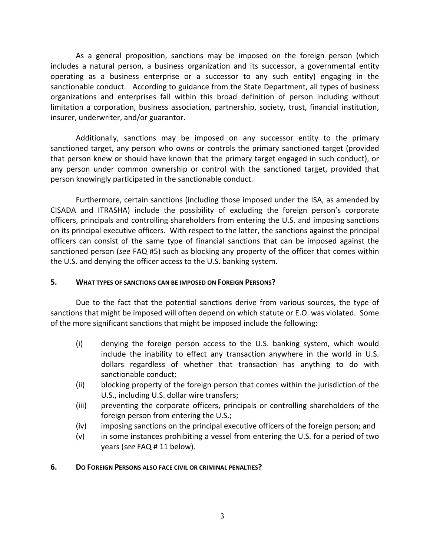As a general proposition, sanctions may be imposed on the foreign person (which includes a natural person, a business organization and its successor, a governmental entity operating as a business enterprise or a successor to any such entity) engaging in the sanctionable conduct. According to guidance from the State Department, all types of business organizations and enterprises fall within this broad definition of person including without limitation a corporation, business association, partnership, society, trust, financial institution, insurer, underwriter, and/or guarantor.

Additionally, sanctions may be imposed on any successor entity to the primary sanctioned target, any person who owns or controls the primary sanctioned target (provided that person knew or should have known that the primary target engaged in such conduct), or any person under common ownership or control with the sanctioned target, provided that person knowingly participated in the sanctionable conduct.

Furthermore, certain sanctions (including those imposed under the ISA, as amended by CISADA and ITRASHA) include the possibility of excluding the foreign person's corporate officers, principals and controlling shareholders from entering the U.S. and imposing sanctions on its principal executive officers. With respect to the latter, the sanctions against the principal officers can consist of the same type of financial sanctions that can be imposed against the sanctioned person (*see* FAQ #5) such as blocking any property of the officer that comes within the U.S. and denying the officer access to the U.S. banking system.

### **5. WHAT TYPES OF SANCTIONS CAN BE IMPOSED ON FOREIGN PERSONS?**

Due to the fact that the potential sanctions derive from various sources, the type of sanctions that might be imposed will often depend on which statute or E.O. was violated. Some of the more significant sanctions that might be imposed include the following:

- (i) denying the foreign person access to the U.S. banking system, which would include the inability to effect any transaction anywhere in the world in U.S. dollars regardless of whether that transaction has anything to do with sanctionable conduct;
- (ii) blocking property of the foreign person that comes within the jurisdiction of the U.S., including U.S. dollar wire transfers;
- (iii) preventing the corporate officers, principals or controlling shareholders of the foreign person from entering the U.S.;
- (iv) imposing sanctions on the principal executive officers of the foreign person; and
- (v) in some instances prohibiting a vessel from entering the U.S. for a period of two years (*see* FAQ # 11 below).

### **6. DO FOREIGN PERSONS ALSO FACE CIVIL OR CRIMINAL PENALTIES?**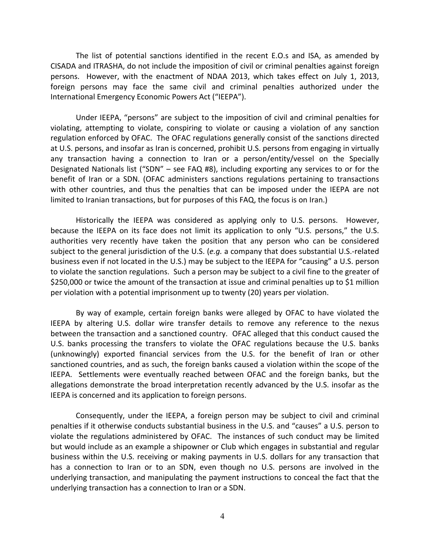The list of potential sanctions identified in the recent E.O.s and ISA, as amended by CISADA and ITRASHA, do not include the imposition of civil or criminal penalties against foreign persons. However, with the enactment of NDAA 2013, which takes effect on July 1, 2013, foreign persons may face the same civil and criminal penalties authorized under the International Emergency Economic Powers Act ("IEEPA").

Under IEEPA, "persons" are subject to the imposition of civil and criminal penalties for violating, attempting to violate, conspiring to violate or causing a violation of any sanction regulation enforced by OFAC. The OFAC regulations generally consist of the sanctions directed at U.S. persons, and insofar as Iran is concerned, prohibit U.S. persons from engaging in virtually any transaction having a connection to Iran or a person/entity/vessel on the Specially Designated Nationals list ("SDN" – see FAQ #8), including exporting any services to or for the benefit of Iran or a SDN. (OFAC administers sanctions regulations pertaining to transactions with other countries, and thus the penalties that can be imposed under the IEEPA are not limited to Iranian transactions, but for purposes of this FAQ, the focus is on Iran.)

Historically the IEEPA was considered as applying only to U.S. persons. However, because the IEEPA on its face does not limit its application to only "U.S. persons," the U.S. authorities very recently have taken the position that any person who can be considered subject to the general jurisdiction of the U.S. (*e.g.* a company that does substantial U.S.‐related business even if not located in the U.S.) may be subject to the IEEPA for "causing" a U.S. person to violate the sanction regulations. Such a person may be subject to a civil fine to the greater of \$250,000 or twice the amount of the transaction at issue and criminal penalties up to \$1 million per violation with a potential imprisonment up to twenty (20) years per violation.

By way of example, certain foreign banks were alleged by OFAC to have violated the IEEPA by altering U.S. dollar wire transfer details to remove any reference to the nexus between the transaction and a sanctioned country. OFAC alleged that this conduct caused the U.S. banks processing the transfers to violate the OFAC regulations because the U.S. banks (unknowingly) exported financial services from the U.S. for the benefit of Iran or other sanctioned countries, and as such, the foreign banks caused a violation within the scope of the IEEPA. Settlements were eventually reached between OFAC and the foreign banks, but the allegations demonstrate the broad interpretation recently advanced by the U.S. insofar as the IEEPA is concerned and its application to foreign persons.

Consequently, under the IEEPA, a foreign person may be subject to civil and criminal penalties if it otherwise conducts substantial business in the U.S. and "causes" a U.S. person to violate the regulations administered by OFAC. The instances of such conduct may be limited but would include as an example a shipowner or Club which engages in substantial and regular business within the U.S. receiving or making payments in U.S. dollars for any transaction that has a connection to Iran or to an SDN, even though no U.S. persons are involved in the underlying transaction, and manipulating the payment instructions to conceal the fact that the underlying transaction has a connection to Iran or a SDN.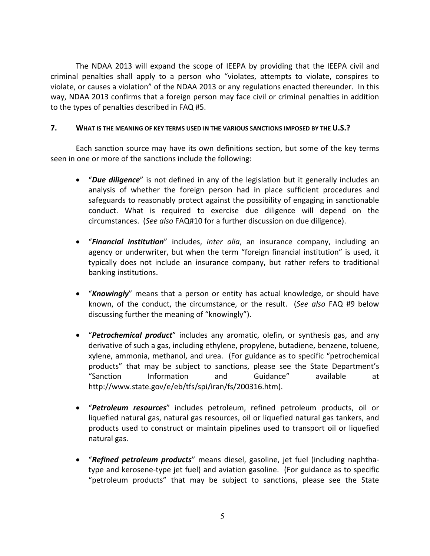The NDAA 2013 will expand the scope of IEEPA by providing that the IEEPA civil and criminal penalties shall apply to a person who "violates, attempts to violate, conspires to violate, or causes a violation" of the NDAA 2013 or any regulations enacted thereunder. In this way, NDAA 2013 confirms that a foreign person may face civil or criminal penalties in addition to the types of penalties described in FAQ #5.

# **7. WHAT IS THE MEANING OF KEY TERMS USED IN THE VARIOUS SANCTIONS IMPOSED BY THE U.S.?**

Each sanction source may have its own definitions section, but some of the key terms seen in one or more of the sanctions include the following:

- x "*Due diligence*" is not defined in any of the legislation but it generally includes an analysis of whether the foreign person had in place sufficient procedures and safeguards to reasonably protect against the possibility of engaging in sanctionable conduct. What is required to exercise due diligence will depend on the circumstances. (*See also* FAQ#10 for a further discussion on due diligence).
- x "*Financial institution*" includes, *inter alia*, an insurance company, including an agency or underwriter, but when the term "foreign financial institution" is used, it typically does not include an insurance company, but rather refers to traditional banking institutions.
- **•** "*Knowingly*" means that a person or entity has actual knowledge, or should have known, of the conduct, the circumstance, or the result. (*See also* FAQ #9 below discussing further the meaning of "knowingly").
- x "*Petrochemical product*" includes any aromatic, olefin, or synthesis gas, and any derivative of such a gas, including ethylene, propylene, butadiene, benzene, toluene, xylene, ammonia, methanol, and urea. (For guidance as to specific "petrochemical products" that may be subject to sanctions, please see the State Department's "Sanction Information and Guidance" available at http://www.state.gov/e/eb/tfs/spi/iran/fs/200316.htm).
- x "*Petroleum resources*" includes petroleum, refined petroleum products, oil or liquefied natural gas, natural gas resources, oil or liquefied natural gas tankers, and products used to construct or maintain pipelines used to transport oil or liquefied natural gas.
- x "*Refined petroleum products*" means diesel, gasoline, jet fuel (including naphtha‐ type and kerosene‐type jet fuel) and aviation gasoline. (For guidance as to specific "petroleum products" that may be subject to sanctions, please see the State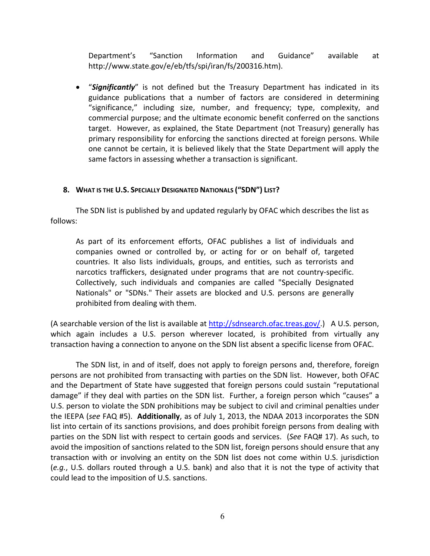Department's "Sanction Information and Guidance" available at http://www.state.gov/e/eb/tfs/spi/iran/fs/200316.htm).

• "Significantly" is not defined but the Treasury Department has indicated in its guidance publications that a number of factors are considered in determining "significance," including size, number, and frequency; type, complexity, and commercial purpose; and the ultimate economic benefit conferred on the sanctions target. However, as explained, the State Department (not Treasury) generally has primary responsibility for enforcing the sanctions directed at foreign persons. While one cannot be certain, it is believed likely that the State Department will apply the same factors in assessing whether a transaction is significant.

### **8. WHAT IS THE U.S. SPECIALLY DESIGNATED NATIONALS ("SDN") LIST?**

The SDN list is published by and updated regularly by OFAC which describes the list as follows:

As part of its enforcement efforts, OFAC publishes a list of individuals and companies owned or controlled by, or acting for or on behalf of, targeted countries. It also lists individuals, groups, and entities, such as terrorists and narcotics traffickers, designated under programs that are not country‐specific. Collectively, such individuals and companies are called "Specially Designated Nationals" or "SDNs." Their assets are blocked and U.S. persons are generally prohibited from dealing with them.

(A searchable version of the list is available at  $\frac{http://sdnsearch.ofac.treas.gov/}{$  $\frac{http://sdnsearch.ofac.treas.gov/}{$  $\frac{http://sdnsearch.ofac.treas.gov/}{$ .) A U.S. person, which again includes a U.S. person wherever located, is prohibited from virtually any transaction having a connection to anyone on the SDN list absent a specific license from OFAC.

The SDN list, in and of itself, does not apply to foreign persons and, therefore, foreign persons are not prohibited from transacting with parties on the SDN list. However, both OFAC and the Department of State have suggested that foreign persons could sustain "reputational damage" if they deal with parties on the SDN list. Further, a foreign person which "causes" a U.S. person to violate the SDN prohibitions may be subject to civil and criminal penalties under the IEEPA (*see* FAQ #5). **Additionally**, as of July 1, 2013, the NDAA 2013 incorporates the SDN list into certain of its sanctions provisions, and does prohibit foreign persons from dealing with parties on the SDN list with respect to certain goods and services. (*See* FAQ# 17). As such, to avoid the imposition of sanctions related to the SDN list, foreign persons should ensure that any transaction with or involving an entity on the SDN list does not come within U.S. jurisdiction (*e.g.*, U.S. dollars routed through a U.S. bank) and also that it is not the type of activity that could lead to the imposition of U.S. sanctions.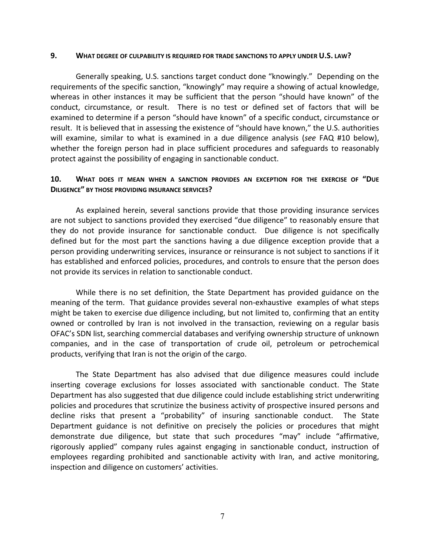#### **9. WHAT DEGREE OF CULPABILITY IS REQUIRED FOR TRADE SANCTIONS TO APPLY UNDER U.S. LAW?**

Generally speaking, U.S. sanctions target conduct done "knowingly." Depending on the requirements of the specific sanction, "knowingly" may require a showing of actual knowledge, whereas in other instances it may be sufficient that the person "should have known" of the conduct, circumstance, or result. There is no test or defined set of factors that will be examined to determine if a person "should have known" of a specific conduct, circumstance or result. It is believed that in assessing the existence of "should have known," the U.S. authorities will examine, similar to what is examined in a due diligence analysis (*see* FAQ #10 below), whether the foreign person had in place sufficient procedures and safeguards to reasonably protect against the possibility of engaging in sanctionable conduct.

## **10. WHAT DOES IT MEAN WHEN A SANCTION PROVIDES AN EXCEPTION FOR THE EXERCISE OF "DUE DILIGENCE" BY THOSE PROVIDING INSURANCE SERVICES?**

As explained herein, several sanctions provide that those providing insurance services are not subject to sanctions provided they exercised "due diligence" to reasonably ensure that they do not provide insurance for sanctionable conduct. Due diligence is not specifically defined but for the most part the sanctions having a due diligence exception provide that a person providing underwriting services, insurance or reinsurance is not subject to sanctions if it has established and enforced policies, procedures, and controls to ensure that the person does not provide its services in relation to sanctionable conduct.

While there is no set definition, the State Department has provided guidance on the meaning of the term. That guidance provides several non‐exhaustive examples of what steps might be taken to exercise due diligence including, but not limited to, confirming that an entity owned or controlled by Iran is not involved in the transaction, reviewing on a regular basis OFAC's SDN list, searching commercial databases and verifying ownership structure of unknown companies, and in the case of transportation of crude oil, petroleum or petrochemical products, verifying that Iran is not the origin of the cargo.

The State Department has also advised that due diligence measures could include inserting coverage exclusions for losses associated with sanctionable conduct. The State Department has also suggested that due diligence could include establishing strict underwriting policies and procedures that scrutinize the business activity of prospective insured persons and decline risks that present a "probability" of insuring sanctionable conduct. The State Department guidance is not definitive on precisely the policies or procedures that might demonstrate due diligence, but state that such procedures "may" include "affirmative, rigorously applied" company rules against engaging in sanctionable conduct, instruction of employees regarding prohibited and sanctionable activity with Iran, and active monitoring, inspection and diligence on customers' activities.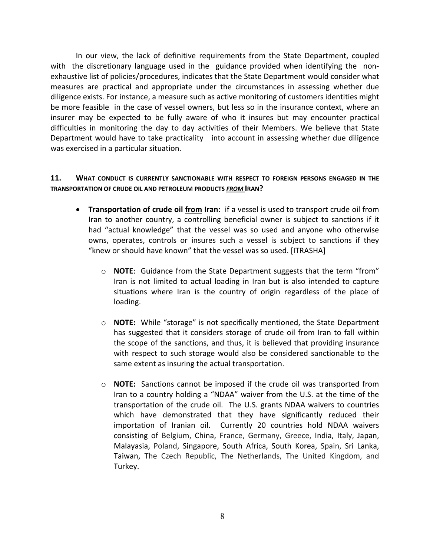In our view, the lack of definitive requirements from the State Department, coupled with the discretionary language used in the guidance provided when identifying the nonexhaustive list of policies/procedures, indicates that the State Department would consider what measures are practical and appropriate under the circumstances in assessing whether due diligence exists. For instance, a measure such as active monitoring of customers identities might be more feasible in the case of vessel owners, but less so in the insurance context, where an insurer may be expected to be fully aware of who it insures but may encounter practical difficulties in monitoring the day to day activities of their Members. We believe that State Department would have to take practicality into account in assessing whether due diligence was exercised in a particular situation.

## **11. WHAT CONDUCT IS CURRENTLY SANCTIONABLE WITH RESPECT TO FOREIGN PERSONS ENGAGED IN THE TRANSPORTATION OF CRUDE OIL AND PETROLEUM PRODUCTS** *FROM* **IRAN?**

- x **Transportation of crude oil from Iran**: if a vessel is used to transport crude oil from Iran to another country, a controlling beneficial owner is subject to sanctions if it had "actual knowledge" that the vessel was so used and anyone who otherwise owns, operates, controls or insures such a vessel is subject to sanctions if they "knew or should have known" that the vessel was so used. [ITRASHA]
	- o **NOTE**: Guidance from the State Department suggests that the term "from" Iran is not limited to actual loading in Iran but is also intended to capture situations where Iran is the country of origin regardless of the place of loading.
	- o **NOTE:** While "storage" is not specifically mentioned, the State Department has suggested that it considers storage of crude oil from Iran to fall within the scope of the sanctions, and thus, it is believed that providing insurance with respect to such storage would also be considered sanctionable to the same extent as insuring the actual transportation.
	- o **NOTE:** Sanctions cannot be imposed if the crude oil was transported from Iran to a country holding a "NDAA" waiver from the U.S. at the time of the transportation of the crude oil. The U.S. grants NDAA waivers to countries which have demonstrated that they have significantly reduced their importation of Iranian oil. Currently 20 countries hold NDAA waivers consisting of Belgium, China, France, Germany, Greece, India, Italy, Japan, Malayasia, Poland, Singapore, South Africa, South Korea, Spain, Sri Lanka, Taiwan, The Czech Republic, The Netherlands, The United Kingdom, and Turkey.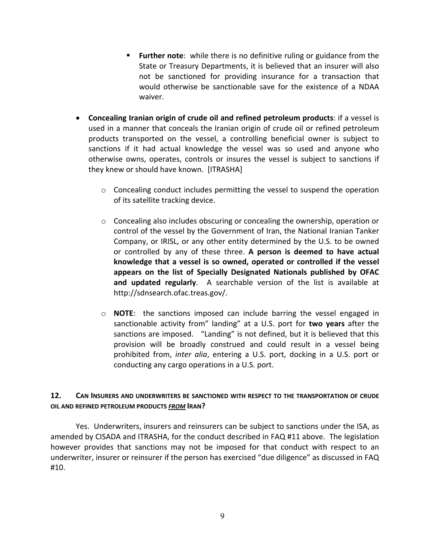- **Further note**: while there is no definitive ruling or guidance from the State or Treasury Departments, it is believed that an insurer will also not be sanctioned for providing insurance for a transaction that would otherwise be sanctionable save for the existence of a NDAA waiver.
- x **Concealing Iranian origin of crude oil and refined petroleum products**: if a vessel is used in a manner that conceals the Iranian origin of crude oil or refined petroleum products transported on the vessel, a controlling beneficial owner is subject to sanctions if it had actual knowledge the vessel was so used and anyone who otherwise owns, operates, controls or insures the vessel is subject to sanctions if they knew or should have known. [ITRASHA]
	- $\circ$  Concealing conduct includes permitting the vessel to suspend the operation of its satellite tracking device.
	- o Concealing also includes obscuring or concealing the ownership, operation or control of the vessel by the Government of Iran, the National Iranian Tanker Company, or IRISL, or any other entity determined by the U.S. to be owned or controlled by any of these three. **A person is deemed to have actual knowledge that a vessel is so owned, operated or controlled if the vessel appears on the list of Specially Designated Nationals published by OFAC and updated regularly**. A searchable version of the list is available at http://sdnsearch.ofac.treas.gov/.
	- o **NOTE**: the sanctions imposed can include barring the vessel engaged in sanctionable activity from" landing" at a U.S. port for **two years** after the sanctions are imposed. "Landing" is not defined, but it is believed that this provision will be broadly construed and could result in a vessel being prohibited from, *inter alia*, entering a U.S. port, docking in a U.S. port or conducting any cargo operations in a U.S. port.

## **12. CAN INSURERS AND UNDERWRITERS BE SANCTIONED WITH RESPECT TO THE TRANSPORTATION OF CRUDE OIL AND REFINED PETROLEUM PRODUCTS** *FROM* **IRAN?**

Yes. Underwriters, insurers and reinsurers can be subject to sanctions under the ISA, as amended by CISADA and ITRASHA, for the conduct described in FAQ #11 above. The legislation however provides that sanctions may not be imposed for that conduct with respect to an underwriter, insurer or reinsurer if the person has exercised "due diligence" as discussed in FAQ #10.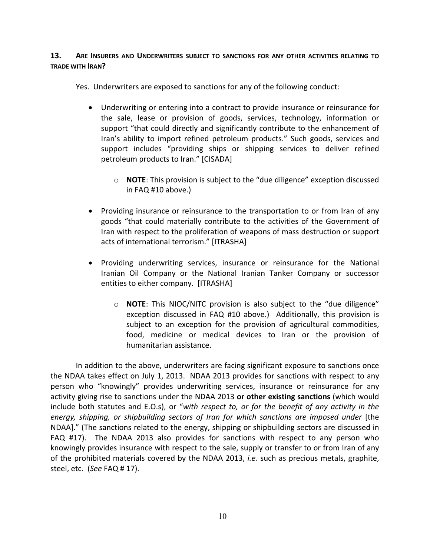## **13. ARE INSURERS AND UNDERWRITERS SUBJECT TO SANCTIONS FOR ANY OTHER ACTIVITIES RELATING TO TRADE WITH IRAN?**

Yes. Underwriters are exposed to sanctions for any of the following conduct:

- Underwriting or entering into a contract to provide insurance or reinsurance for the sale, lease or provision of goods, services, technology, information or support "that could directly and significantly contribute to the enhancement of Iran's ability to import refined petroleum products." Such goods, services and support includes "providing ships or shipping services to deliver refined petroleum products to Iran." [CISADA]
	- o **NOTE**: This provision is subject to the "due diligence" exception discussed in FAQ #10 above.)
- Providing insurance or reinsurance to the transportation to or from Iran of any goods "that could materially contribute to the activities of the Government of Iran with respect to the proliferation of weapons of mass destruction or support acts of international terrorism." [ITRASHA]
- Providing underwriting services, insurance or reinsurance for the National Iranian Oil Company or the National Iranian Tanker Company or successor entities to either company. [ITRASHA]
	- o **NOTE**: This NIOC/NITC provision is also subject to the "due diligence" exception discussed in FAQ #10 above.) Additionally, this provision is subject to an exception for the provision of agricultural commodities, food, medicine or medical devices to Iran or the provision of humanitarian assistance.

In addition to the above, underwriters are facing significant exposure to sanctions once the NDAA takes effect on July 1, 2013. NDAA 2013 provides for sanctions with respect to any person who "knowingly" provides underwriting services, insurance or reinsurance for any activity giving rise to sanctions under the NDAA 2013 **or other existing sanctions** (which would include both statutes and E.O.s), or "*with respect to, or for the benefit of any activity in the energy, shipping, or shipbuilding sectors of Iran for which sanctions are imposed under* [the NDAA]." (The sanctions related to the energy, shipping or shipbuilding sectors are discussed in FAQ #17). The NDAA 2013 also provides for sanctions with respect to any person who knowingly provides insurance with respect to the sale, supply or transfer to or from Iran of any of the prohibited materials covered by the NDAA 2013, *i.e.* such as precious metals, graphite, steel, etc. (*See* FAQ # 17).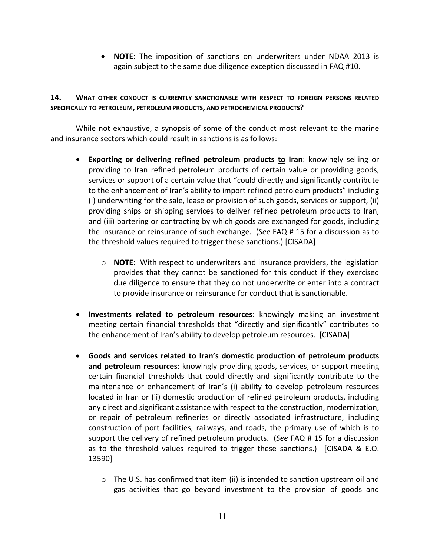x **NOTE**: The imposition of sanctions on underwriters under NDAA 2013 is again subject to the same due diligence exception discussed in FAQ #10.

# **14. WHAT OTHER CONDUCT IS CURRENTLY SANCTIONABLE WITH RESPECT TO FOREIGN PERSONS RELATED SPECIFICALLY TO PETROLEUM, PETROLEUM PRODUCTS, AND PETROCHEMICAL PRODUCTS?**

While not exhaustive, a synopsis of some of the conduct most relevant to the marine and insurance sectors which could result in sanctions is as follows:

- x **Exporting or delivering refined petroleum products to Iran**: knowingly selling or providing to Iran refined petroleum products of certain value or providing goods, services or support of a certain value that "could directly and significantly contribute to the enhancement of Iran's ability to import refined petroleum products" including (i) underwriting for the sale, lease or provision of such goods, services or support, (ii) providing ships or shipping services to deliver refined petroleum products to Iran, and (iii) bartering or contracting by which goods are exchanged for goods, including the insurance or reinsurance of such exchange. (*See* FAQ # 15 for a discussion as to the threshold values required to trigger these sanctions.) [CISADA]
	- o **NOTE**:With respect to underwriters and insurance providers, the legislation provides that they cannot be sanctioned for this conduct if they exercised due diligence to ensure that they do not underwrite or enter into a contract to provide insurance or reinsurance for conduct that is sanctionable.
- x **Investments related to petroleum resources**: knowingly making an investment meeting certain financial thresholds that "directly and significantly" contributes to the enhancement of Iran's ability to develop petroleum resources. [CISADA]
- x **Goods and services related to Iran's domestic production of petroleum products and petroleum resources**: knowingly providing goods, services, or support meeting certain financial thresholds that could directly and significantly contribute to the maintenance or enhancement of Iran's (i) ability to develop petroleum resources located in Iran or (ii) domestic production of refined petroleum products, including any direct and significant assistance with respect to the construction, modernization, or repair of petroleum refineries or directly associated infrastructure, including construction of port facilities, railways, and roads, the primary use of which is to support the delivery of refined petroleum products. (*See* FAQ # 15 for a discussion as to the threshold values required to trigger these sanctions.) [CISADA & E.O. 13590]
	- $\circ$  The U.S. has confirmed that item (ii) is intended to sanction upstream oil and gas activities that go beyond investment to the provision of goods and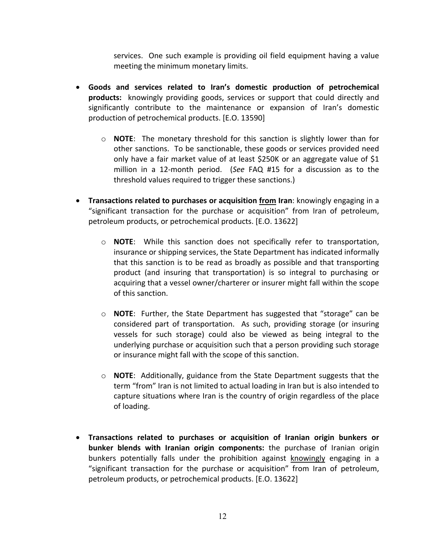services. One such example is providing oil field equipment having a value meeting the minimum monetary limits.

- x **Goods and services related to Iran's domestic production of petrochemical products:** knowingly providing goods, services or support that could directly and significantly contribute to the maintenance or expansion of Iran's domestic production of petrochemical products. [E.O. 13590]
	- o **NOTE**: The monetary threshold for this sanction is slightly lower than for other sanctions. To be sanctionable, these goods or services provided need only have a fair market value of at least \$250K or an aggregate value of \$1 million in a 12‐month period. (*See* FAQ #15 for a discussion as to the threshold values required to trigger these sanctions.)
- x **Transactions related to purchases or acquisition from Iran**: knowingly engaging in a "significant transaction for the purchase or acquisition" from Iran of petroleum, petroleum products, or petrochemical products. [E.O. 13622]
	- o **NOTE**: While this sanction does not specifically refer to transportation, insurance or shipping services, the State Department has indicated informally that this sanction is to be read as broadly as possible and that transporting product (and insuring that transportation) is so integral to purchasing or acquiring that a vessel owner/charterer or insurer might fall within the scope of this sanction.
	- o **NOTE**:Further, the State Department has suggested that "storage" can be considered part of transportation. As such, providing storage (or insuring vessels for such storage) could also be viewed as being integral to the underlying purchase or acquisition such that a person providing such storage or insurance might fall with the scope of this sanction.
	- o **NOTE**: Additionally, guidance from the State Department suggests that the term "from" Iran is not limited to actual loading in Iran but is also intended to capture situations where Iran is the country of origin regardless of the place of loading.
- x **Transactions related to purchases or acquisition of Iranian origin bunkers or bunker blends with Iranian origin components:** the purchase of Iranian origin bunkers potentially falls under the prohibition against knowingly engaging in a "significant transaction for the purchase or acquisition" from Iran of petroleum, petroleum products, or petrochemical products. [E.O. 13622]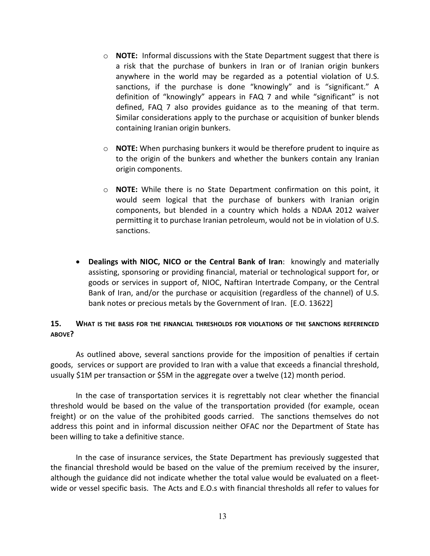- o **NOTE:** Informal discussions with the State Department suggest that there is a risk that the purchase of bunkers in Iran or of Iranian origin bunkers anywhere in the world may be regarded as a potential violation of U.S. sanctions, if the purchase is done "knowingly" and is "significant." A definition of "knowingly" appears in FAQ 7 and while "significant" is not defined, FAQ 7 also provides guidance as to the meaning of that term. Similar considerations apply to the purchase or acquisition of bunker blends containing Iranian origin bunkers.
- o **NOTE:** When purchasing bunkers it would be therefore prudent to inquire as to the origin of the bunkers and whether the bunkers contain any Iranian origin components.
- o **NOTE:** While there is no State Department confirmation on this point, it would seem logical that the purchase of bunkers with Iranian origin components, but blended in a country which holds a NDAA 2012 waiver permitting it to purchase Iranian petroleum, would not be in violation of U.S. sanctions.
- x **Dealings with NIOC, NICO or the Central Bank of Iran**: knowingly and materially assisting, sponsoring or providing financial, material or technological support for, or goods or services in support of, NIOC, Naftiran Intertrade Company, or the Central Bank of Iran, and/or the purchase or acquisition (regardless of the channel) of U.S. bank notes or precious metals by the Government of Iran. [E.O. 13622]

### **15. WHAT IS THE BASIS FOR THE FINANCIAL THRESHOLDS FOR VIOLATIONS OF THE SANCTIONS REFERENCED ABOVE?**

As outlined above, several sanctions provide for the imposition of penalties if certain goods, services or support are provided to Iran with a value that exceeds a financial threshold, usually \$1M per transaction or \$5M in the aggregate over a twelve (12) month period.

In the case of transportation services it is regrettably not clear whether the financial threshold would be based on the value of the transportation provided (for example, ocean freight) or on the value of the prohibited goods carried. The sanctions themselves do not address this point and in informal discussion neither OFAC nor the Department of State has been willing to take a definitive stance.

In the case of insurance services, the State Department has previously suggested that the financial threshold would be based on the value of the premium received by the insurer, although the guidance did not indicate whether the total value would be evaluated on a fleet‐ wide or vessel specific basis. The Acts and E.O.s with financial thresholds all refer to values for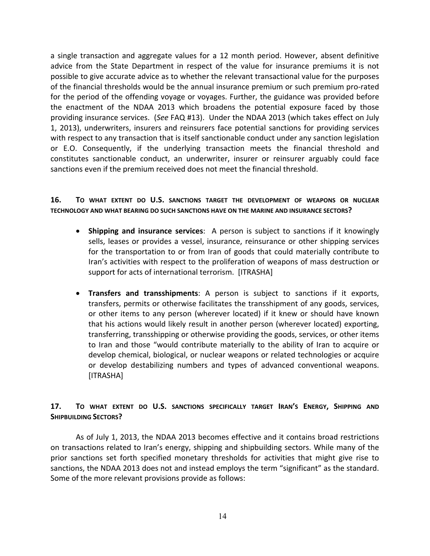a single transaction and aggregate values for a 12 month period. However, absent definitive advice from the State Department in respect of the value for insurance premiums it is not possible to give accurate advice as to whether the relevant transactional value for the purposes of the financial thresholds would be the annual insurance premium or such premium pro‐rated for the period of the offending voyage or voyages. Further, the guidance was provided before the enactment of the NDAA 2013 which broadens the potential exposure faced by those providing insurance services. (*See* FAQ #13). Under the NDAA 2013 (which takes effect on July 1, 2013), underwriters, insurers and reinsurers face potential sanctions for providing services with respect to any transaction that is itself sanctionable conduct under any sanction legislation or E.O. Consequently, if the underlying transaction meets the financial threshold and constitutes sanctionable conduct, an underwriter, insurer or reinsurer arguably could face sanctions even if the premium received does not meet the financial threshold.

## **16. TO WHAT EXTENT DO U.S. SANCTIONS TARGET THE DEVELOPMENT OF WEAPONS OR NUCLEAR TECHNOLOGY AND WHAT BEARING DO SUCH SANCTIONS HAVE ON THE MARINE AND INSURANCE SECTORS?**

- x **Shipping and insurance services**: A person is subject to sanctions if it knowingly sells, leases or provides a vessel, insurance, reinsurance or other shipping services for the transportation to or from Iran of goods that could materially contribute to Iran's activities with respect to the proliferation of weapons of mass destruction or support for acts of international terrorism. [ITRASHA]
- x **Transfers and transshipments**: A person is subject to sanctions if it exports, transfers, permits or otherwise facilitates the transshipment of any goods, services, or other items to any person (wherever located) if it knew or should have known that his actions would likely result in another person (wherever located) exporting, transferring, transshipping or otherwise providing the goods, services, or other items to Iran and those "would contribute materially to the ability of Iran to acquire or develop chemical, biological, or nuclear weapons or related technologies or acquire or develop destabilizing numbers and types of advanced conventional weapons. [ITRASHA]

## **17. TO WHAT EXTENT DO U.S. SANCTIONS SPECIFICALLY TARGET IRAN'S ENERGY, SHIPPING AND SHIPBUILDING SECTORS?**

As of July 1, 2013, the NDAA 2013 becomes effective and it contains broad restrictions on transactions related to Iran's energy, shipping and shipbuilding sectors. While many of the prior sanctions set forth specified monetary thresholds for activities that might give rise to sanctions, the NDAA 2013 does not and instead employs the term "significant" as the standard. Some of the more relevant provisions provide as follows: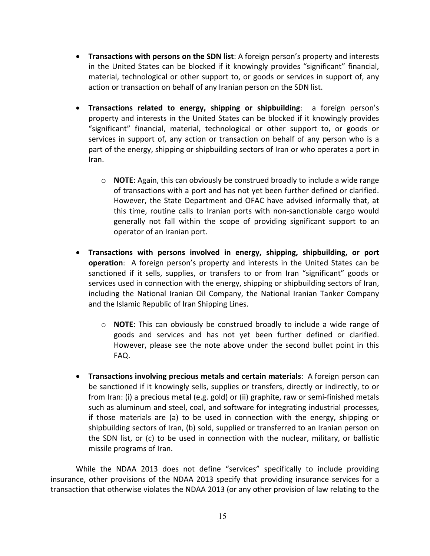- x **Transactions with persons on the SDN list**: A foreign person's property and interests in the United States can be blocked if it knowingly provides "significant" financial, material, technological or other support to, or goods or services in support of, any action or transaction on behalf of any Iranian person on the SDN list.
- x **Transactions related to energy, shipping or shipbuilding**: a foreign person's property and interests in the United States can be blocked if it knowingly provides "significant" financial, material, technological or other support to, or goods or services in support of, any action or transaction on behalf of any person who is a part of the energy, shipping or shipbuilding sectors of Iran or who operates a port in Iran.
	- o **NOTE**: Again, this can obviously be construed broadly to include a wide range of transactions with a port and has not yet been further defined or clarified. However, the State Department and OFAC have advised informally that, at this time, routine calls to Iranian ports with non‐sanctionable cargo would generally not fall within the scope of providing significant support to an operator of an Iranian port.
- x **Transactions with persons involved in energy, shipping, shipbuilding, or port operation**: A foreign person's property and interests in the United States can be sanctioned if it sells, supplies, or transfers to or from Iran "significant" goods or services used in connection with the energy, shipping or shipbuilding sectors of Iran, including the National Iranian Oil Company, the National Iranian Tanker Company and the Islamic Republic of Iran Shipping Lines.
	- o **NOTE**: This can obviously be construed broadly to include a wide range of goods and services and has not yet been further defined or clarified. However, please see the note above under the second bullet point in this FAQ.
- x **Transactions involving precious metals and certain materials**: A foreign person can be sanctioned if it knowingly sells, supplies or transfers, directly or indirectly, to or from Iran: (i) a precious metal (e.g. gold) or (ii) graphite, raw or semi‐finished metals such as aluminum and steel, coal, and software for integrating industrial processes, if those materials are (a) to be used in connection with the energy, shipping or shipbuilding sectors of Iran, (b) sold, supplied or transferred to an Iranian person on the SDN list, or (c) to be used in connection with the nuclear, military, or ballistic missile programs of Iran.

While the NDAA 2013 does not define "services" specifically to include providing insurance, other provisions of the NDAA 2013 specify that providing insurance services for a transaction that otherwise violates the NDAA 2013 (or any other provision of law relating to the